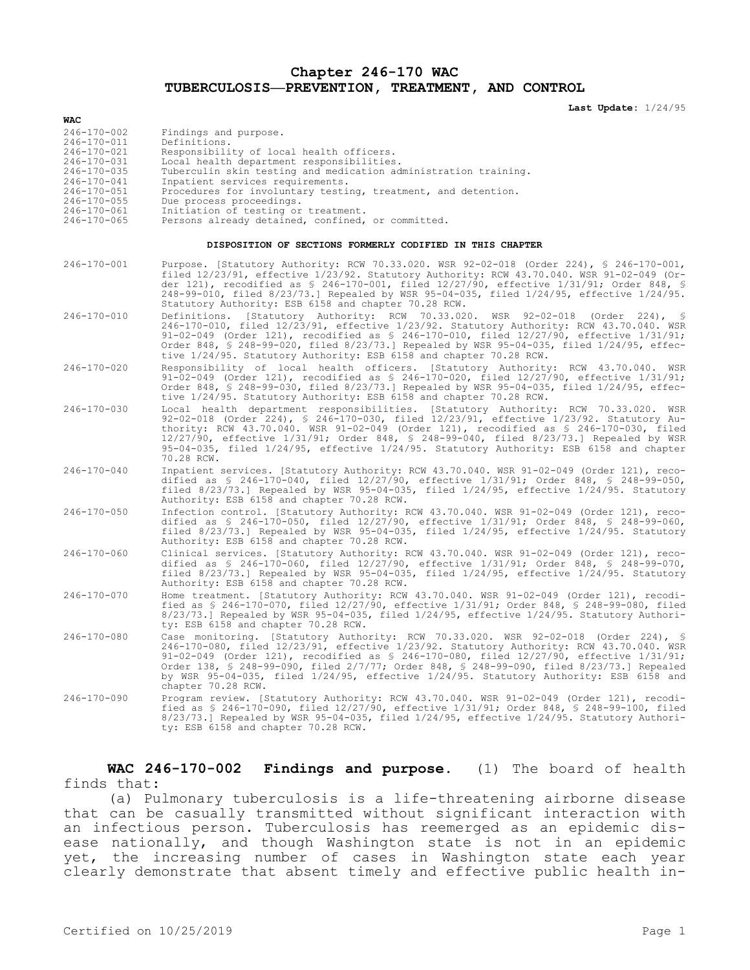**Chapter 246-170 WAC TUBERCULOSIS—PREVENTION, TREATMENT, AND CONTROL**

**Last Update:** 1/24/95

| WAC                                                       |                                                                                                                                                                                                                                                                                                                                                                                                                                                                                            |
|-----------------------------------------------------------|--------------------------------------------------------------------------------------------------------------------------------------------------------------------------------------------------------------------------------------------------------------------------------------------------------------------------------------------------------------------------------------------------------------------------------------------------------------------------------------------|
| 246-170-002<br>246-170-011<br>246-170-021                 | Findings and purpose.<br>Definitions.<br>Responsibility of local health officers.                                                                                                                                                                                                                                                                                                                                                                                                          |
| 246-170-031                                               | Local health department responsibilities.                                                                                                                                                                                                                                                                                                                                                                                                                                                  |
| 246-170-035<br>246-170-041                                | Tuberculin skin testing and medication administration training.<br>Inpatient services requirements.                                                                                                                                                                                                                                                                                                                                                                                        |
| 246-170-051                                               | Procedures for involuntary testing, treatment, and detention.                                                                                                                                                                                                                                                                                                                                                                                                                              |
| 246-170-055<br>246-170-061                                | Due process proceedings.<br>Initiation of testing or treatment.                                                                                                                                                                                                                                                                                                                                                                                                                            |
| 246-170-065                                               | Persons already detained, confined, or committed.                                                                                                                                                                                                                                                                                                                                                                                                                                          |
| DISPOSITION OF SECTIONS FORMERLY CODIFIED IN THIS CHAPTER |                                                                                                                                                                                                                                                                                                                                                                                                                                                                                            |
| 246-170-001                                               | Purpose. [Statutory Authority: RCW 70.33.020. WSR 92-02-018 (Order 224), § 246-170-001,<br>filed 12/23/91, effective 1/23/92. Statutory Authority: RCW 43.70.040. WSR 91-02-049 (Or-<br>der 121), recodified as $\S$ 246-170-001, filed 12/27/90, effective 1/31/91; Order 848, $\S$<br>248-99-010, filed 8/23/73.] Repealed by WSR 95-04-035, filed 1/24/95, effective 1/24/95.<br>Statutory Authority: ESB 6158 and chapter 70.28 RCW.                                                   |
| $246 - 170 - 010$                                         | Definitions. [Statutory Authority: RCW 70.33.020. WSR 92-02-018<br>(Order 224), $\frac{1}{2}$<br>246-170-010, filed 12/23/91, effective 1/23/92. Statutory Authority: RCW 43.70.040. WSR<br>91-02-049 (Order 121), recodified as $$246-170-010$ , filed $12/27/90$ , effective $1/31/91$ ;<br>Order 848, § 248-99-020, filed 8/23/73.] Repealed by WSR 95-04-035, filed 1/24/95, effec-<br>tive 1/24/95. Statutory Authority: ESB 6158 and chapter 70.28 RCW.                              |
| 246-170-020                                               | Responsibility of local health officers. [Statutory Authority: RCW 43.70.040. WSR<br>91-02-049 (Order 121), recodified as $$ 246-170-020$ , filed $12/27/90$ , effective $1/31/91$ ;<br>Order 848, \$ 248-99-030, filed 8/23/73.] Repealed by WSR 95-04-035, filed 1/24/95, effec-<br>tive 1/24/95. Statutory Authority: ESB 6158 and chapter 70.28 RCW.                                                                                                                                   |
| 246-170-030                                               | Local health department responsibilities. [Statutory Authority: RCW 70.33.020. WSR<br>92-02-018 (Order 224), § 246-170-030, filed 12/23/91, effective 1/23/92. Statutory Au-<br>thority: RCW 43.70.040. WSR 91-02-049 (Order 121), recodified as \$ 246-170-030, filed<br>12/27/90, effective 1/31/91; Order 848, § 248-99-040, filed 8/23/73.] Repealed by WSR<br>95-04-035, filed 1/24/95, effective 1/24/95. Statutory Authority: ESB 6158 and chapter<br>70.28 RCW.                    |
| 246-170-040                                               | Inpatient services. [Statutory Authority: RCW 43.70.040. WSR 91-02-049 (Order 121), reco-<br>dified as $\frac{1}{5}$ 246-170-040, filed 12/27/90, effective 1/31/91; Order 848, $\frac{1}{5}$ 248-99-050,<br>filed $8/23/73$ .] Repealed by WSR 95-04-035, filed $1/24/95$ , effective $1/24/95$ . Statutory<br>Authority: ESB 6158 and chapter 70.28 RCW.                                                                                                                                 |
| 246-170-050                                               | Infection control. [Statutory Authority: RCW 43.70.040. WSR 91-02-049 (Order 121), reco-<br>dified as \$ 246-170-050, filed 12/27/90, effective 1/31/91; Order 848, \$ 248-99-060,<br>filed $8/23/73$ .] Repealed by WSR 95-04-035, filed $1/24/95$ , effective $1/24/95$ . Statutory<br>Authority: ESB 6158 and chapter 70.28 RCW.                                                                                                                                                        |
| 246-170-060                                               | Clinical services. [Statutory Authority: RCW 43.70.040. WSR 91-02-049 (Order 121), reco-<br>dified as \$ 246-170-060, filed 12/27/90, effective 1/31/91; Order 848, \$ 248-99-070,<br>filed $8/23/73$ .] Repealed by WSR 95-04-035, filed $1/24/95$ , effective $1/24/95$ . Statutory<br>Authority: ESB 6158 and chapter 70.28 RCW.                                                                                                                                                        |
| 246-170-070                                               | Home treatment. [Statutory Authority: RCW 43.70.040. WSR 91-02-049 (Order 121), recodi-<br>fied as \$ 246-170-070, filed 12/27/90, effective 1/31/91; Order 848, \$ 248-99-080, filed<br>$8/23/73$ .] Repealed by WSR 95-04-035, filed $1/24/95$ , effective $1/24/95$ . Statutory Authori-<br>ty: ESB 6158 and chapter 70.28 RCW.                                                                                                                                                         |
| $246 - 170 - 080$                                         | Case monitoring. [Statutory Authority: RCW 70.33.020. WSR 92-02-018 (Order 224), §<br>246-170-080, filed 12/23/91, effective 1/23/92. Statutory Authority: RCW 43.70.040. WSR<br>91-02-049 (Order 121), recodified as $$246-170-080$ , filed $12/27/90$ , effective $1/31/91$ ;<br>Order 138, § 248-99-090, filed 2/7/77; Order 848, § 248-99-090, filed 8/23/73.] Repealed<br>by WSR 95-04-035, filed 1/24/95, effective 1/24/95. Statutory Authority: ESB 6158 and<br>chapter 70.28 RCW. |
| 246-170-090                                               | Program review. [Statutory Authority: RCW 43.70.040. WSR 91-02-049 (Order 121), recodi-<br>fied as $$246-170-090$ , filed $12/27/90$ , effective $1/31/91$ ; Order 848, $$248-99-100$ , filed<br>8/23/73.] Repealed by WSR 95-04-035, filed 1/24/95, effective 1/24/95. Statutory Authori-<br>ty: ESB 6158 and chapter 70.28 RCW.                                                                                                                                                          |

**WAC 246-170-002 Findings and purpose.** (1) The board of health finds that:

(a) Pulmonary tuberculosis is a life-threatening airborne disease that can be casually transmitted without significant interaction with an infectious person. Tuberculosis has reemerged as an epidemic disease nationally, and though Washington state is not in an epidemic yet, the increasing number of cases in Washington state each year clearly demonstrate that absent timely and effective public health in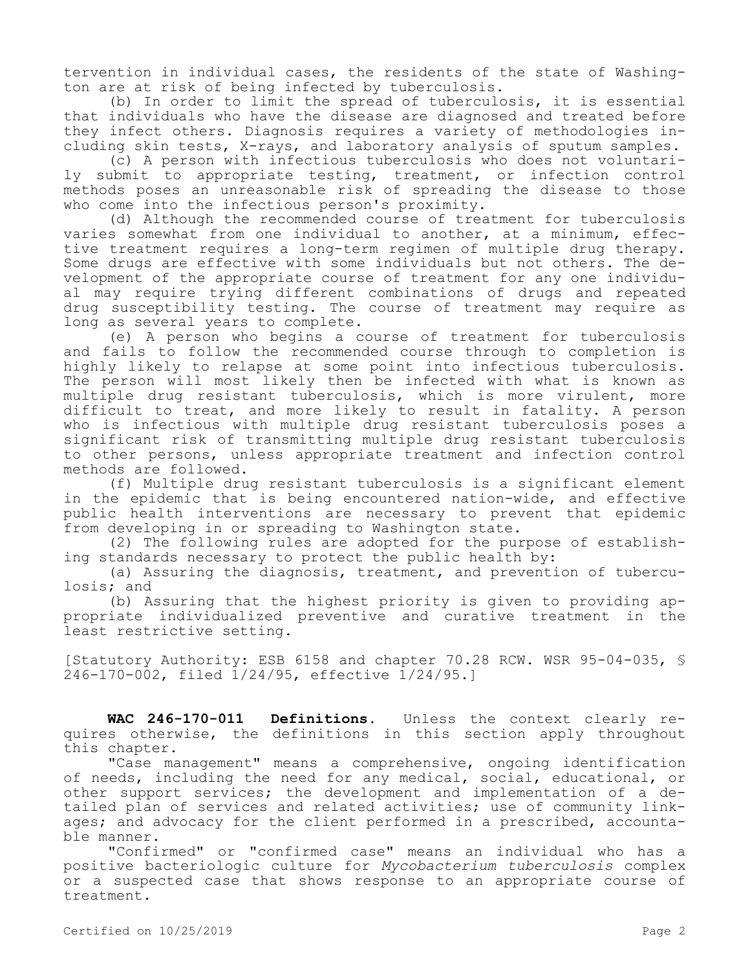tervention in individual cases, the residents of the state of Washington are at risk of being infected by tuberculosis.

(b) In order to limit the spread of tuberculosis, it is essential that individuals who have the disease are diagnosed and treated before they infect others. Diagnosis requires a variety of methodologies including skin tests, X-rays, and laboratory analysis of sputum samples.

(c) A person with infectious tuberculosis who does not voluntarily submit to appropriate testing, treatment, or infection control methods poses an unreasonable risk of spreading the disease to those who come into the infectious person's proximity.

(d) Although the recommended course of treatment for tuberculosis varies somewhat from one individual to another, at a minimum, effective treatment requires a long-term regimen of multiple drug therapy. Some drugs are effective with some individuals but not others. The development of the appropriate course of treatment for any one individual may require trying different combinations of drugs and repeated drug susceptibility testing. The course of treatment may require as long as several years to complete.

(e) A person who begins a course of treatment for tuberculosis and fails to follow the recommended course through to completion is highly likely to relapse at some point into infectious tuberculosis. The person will most likely then be infected with what is known as multiple drug resistant tuberculosis, which is more virulent, more difficult to treat, and more likely to result in fatality. A person who is infectious with multiple drug resistant tuberculosis poses a significant risk of transmitting multiple drug resistant tuberculosis to other persons, unless appropriate treatment and infection control methods are followed.

(f) Multiple drug resistant tuberculosis is a significant element in the epidemic that is being encountered nation-wide, and effective public health interventions are necessary to prevent that epidemic from developing in or spreading to Washington state.

(2) The following rules are adopted for the purpose of establishing standards necessary to protect the public health by:

(a) Assuring the diagnosis, treatment, and prevention of tuberculosis; and

(b) Assuring that the highest priority is given to providing appropriate individualized preventive and curative treatment in the least restrictive setting.

[Statutory Authority: ESB 6158 and chapter 70.28 RCW. WSR 95-04-035, § 246-170-002, filed 1/24/95, effective 1/24/95.]

**WAC 246-170-011 Definitions.** Unless the context clearly requires otherwise, the definitions in this section apply throughout this chapter.

"Case management" means a comprehensive, ongoing identification of needs, including the need for any medical, social, educational, or other support services; the development and implementation of a detailed plan of services and related activities; use of community linkages; and advocacy for the client performed in a prescribed, accountable manner.

"Confirmed" or "confirmed case" means an individual who has a positive bacteriologic culture for *Mycobacterium tuberculosis* complex or a suspected case that shows response to an appropriate course of treatment.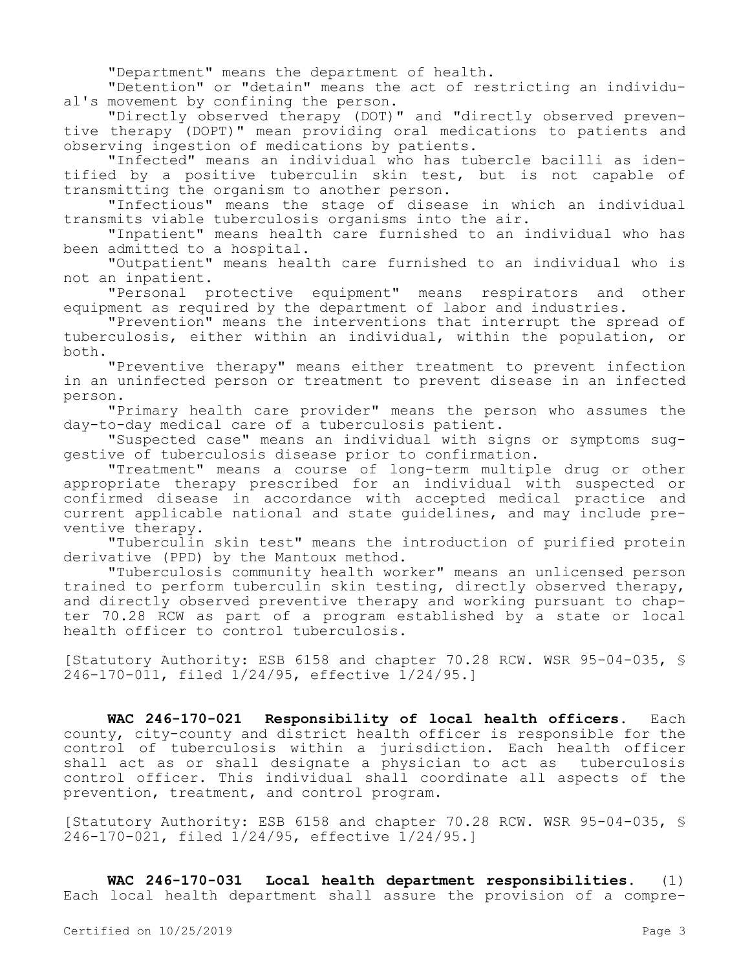"Department" means the department of health.

"Detention" or "detain" means the act of restricting an individual's movement by confining the person.

"Directly observed therapy (DOT)" and "directly observed preventive therapy (DOPT)" mean providing oral medications to patients and observing ingestion of medications by patients.

"Infected" means an individual who has tubercle bacilli as identified by a positive tuberculin skin test, but is not capable of transmitting the organism to another person.

"Infectious" means the stage of disease in which an individual transmits viable tuberculosis organisms into the air.

"Inpatient" means health care furnished to an individual who has been admitted to a hospital.

"Outpatient" means health care furnished to an individual who is not an inpatient.

"Personal protective equipment" means respirators and other equipment as required by the department of labor and industries.

"Prevention" means the interventions that interrupt the spread of tuberculosis, either within an individual, within the population, or both.

"Preventive therapy" means either treatment to prevent infection in an uninfected person or treatment to prevent disease in an infected person.

"Primary health care provider" means the person who assumes the day-to-day medical care of a tuberculosis patient.

"Suspected case" means an individual with signs or symptoms suggestive of tuberculosis disease prior to confirmation.

"Treatment" means a course of long-term multiple drug or other appropriate therapy prescribed for an individual with suspected or confirmed disease in accordance with accepted medical practice and current applicable national and state guidelines, and may include preventive therapy.

"Tuberculin skin test" means the introduction of purified protein derivative (PPD) by the Mantoux method.

"Tuberculosis community health worker" means an unlicensed person trained to perform tuberculin skin testing, directly observed therapy, and directly observed preventive therapy and working pursuant to chapter 70.28 RCW as part of a program established by a state or local health officer to control tuberculosis.

[Statutory Authority: ESB 6158 and chapter 70.28 RCW. WSR 95-04-035, § 246-170-011, filed 1/24/95, effective 1/24/95.]

**WAC 246-170-021 Responsibility of local health officers.** Each county, city-county and district health officer is responsible for the control of tuberculosis within a jurisdiction. Each health officer shall act as or shall designate a physician to act as tuberculosis control officer. This individual shall coordinate all aspects of the prevention, treatment, and control program.

[Statutory Authority: ESB 6158 and chapter 70.28 RCW. WSR 95-04-035, § 246-170-021, filed 1/24/95, effective 1/24/95.]

**WAC 246-170-031 Local health department responsibilities.** (1) Each local health department shall assure the provision of a compre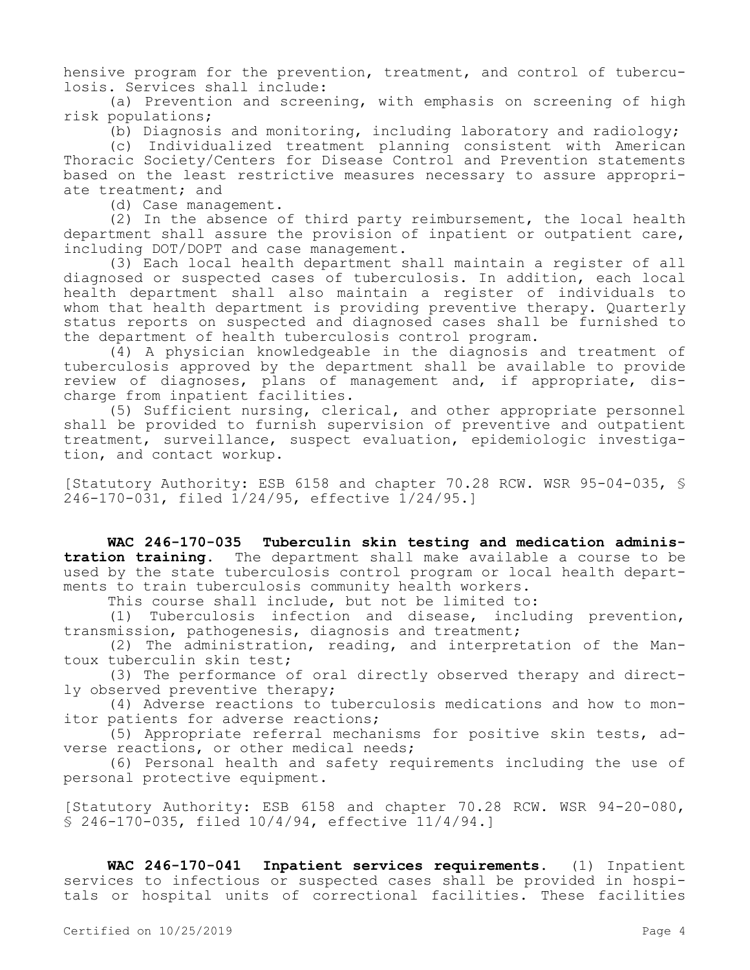hensive program for the prevention, treatment, and control of tuberculosis. Services shall include:

(a) Prevention and screening, with emphasis on screening of high risk populations;

(b) Diagnosis and monitoring, including laboratory and radiology;

(c) Individualized treatment planning consistent with American Thoracic Society/Centers for Disease Control and Prevention statements based on the least restrictive measures necessary to assure appropriate treatment; and

(d) Case management.

(2) In the absence of third party reimbursement, the local health department shall assure the provision of inpatient or outpatient care, including DOT/DOPT and case management.

(3) Each local health department shall maintain a register of all diagnosed or suspected cases of tuberculosis. In addition, each local health department shall also maintain a register of individuals to whom that health department is providing preventive therapy. Quarterly status reports on suspected and diagnosed cases shall be furnished to the department of health tuberculosis control program.

(4) A physician knowledgeable in the diagnosis and treatment of tuberculosis approved by the department shall be available to provide review of diagnoses, plans of management and, if appropriate, discharge from inpatient facilities.

(5) Sufficient nursing, clerical, and other appropriate personnel shall be provided to furnish supervision of preventive and outpatient treatment, surveillance, suspect evaluation, epidemiologic investigation, and contact workup.

[Statutory Authority: ESB 6158 and chapter 70.28 RCW. WSR 95-04-035, § 246-170-031, filed 1/24/95, effective 1/24/95.]

**WAC 246-170-035 Tuberculin skin testing and medication administration training.** The department shall make available a course to be used by the state tuberculosis control program or local health departments to train tuberculosis community health workers.

This course shall include, but not be limited to:

(1) Tuberculosis infection and disease, including prevention, transmission, pathogenesis, diagnosis and treatment;

(2) The administration, reading, and interpretation of the Mantoux tuberculin skin test;

(3) The performance of oral directly observed therapy and directly observed preventive therapy;

(4) Adverse reactions to tuberculosis medications and how to monitor patients for adverse reactions;

(5) Appropriate referral mechanisms for positive skin tests, adverse reactions, or other medical needs;

(6) Personal health and safety requirements including the use of personal protective equipment.

[Statutory Authority: ESB 6158 and chapter 70.28 RCW. WSR 94-20-080, § 246-170-035, filed 10/4/94, effective 11/4/94.]

**WAC 246-170-041 Inpatient services requirements.** (1) Inpatient services to infectious or suspected cases shall be provided in hospitals or hospital units of correctional facilities. These facilities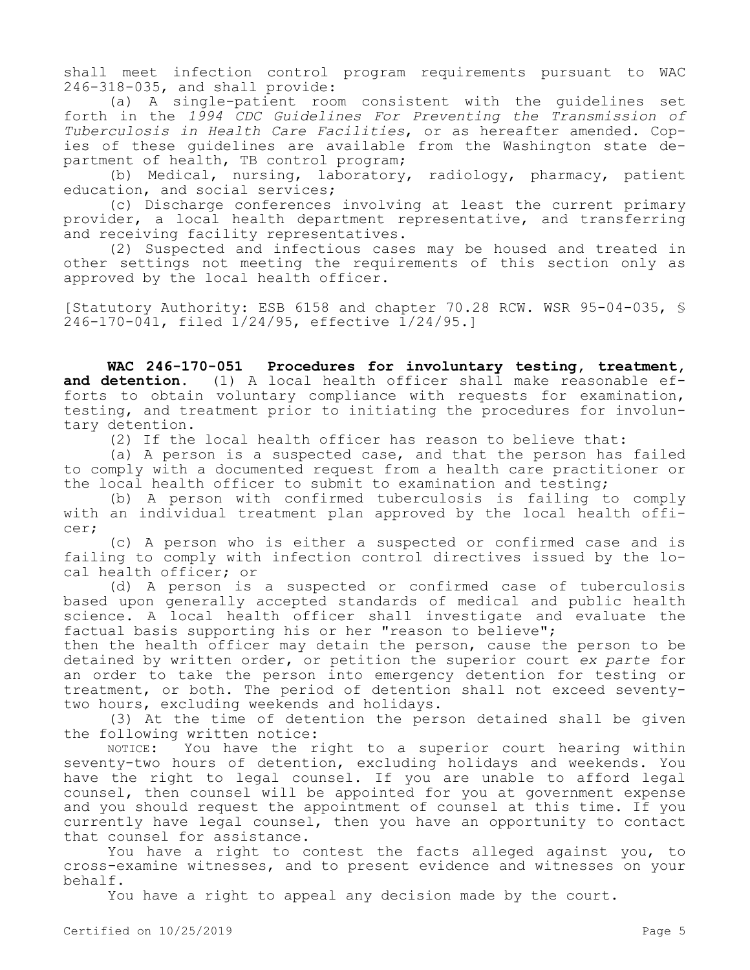shall meet infection control program requirements pursuant to WAC 246-318-035, and shall provide:

(a) A single-patient room consistent with the guidelines set forth in the *1994 CDC Guidelines For Preventing the Transmission of Tuberculosis in Health Care Facilities*, or as hereafter amended. Copies of these guidelines are available from the Washington state department of health, TB control program;

(b) Medical, nursing, laboratory, radiology, pharmacy, patient education, and social services;

(c) Discharge conferences involving at least the current primary provider, a local health department representative, and transferring and receiving facility representatives.

(2) Suspected and infectious cases may be housed and treated in other settings not meeting the requirements of this section only as approved by the local health officer.

[Statutory Authority: ESB 6158 and chapter 70.28 RCW. WSR 95-04-035, § 246-170-041, filed 1/24/95, effective 1/24/95.]

**WAC 246-170-051 Procedures for involuntary testing, treatment,**  and detention. (1) A local health officer shall make reasonable efforts to obtain voluntary compliance with requests for examination, testing, and treatment prior to initiating the procedures for involuntary detention.

(2) If the local health officer has reason to believe that:

(a) A person is a suspected case, and that the person has failed to comply with a documented request from a health care practitioner or the local health officer to submit to examination and testing;

(b) A person with confirmed tuberculosis is failing to comply with an individual treatment plan approved by the local health officer;

(c) A person who is either a suspected or confirmed case and is failing to comply with infection control directives issued by the local health officer; or

(d) A person is a suspected or confirmed case of tuberculosis based upon generally accepted standards of medical and public health science. A local health officer shall investigate and evaluate the factual basis supporting his or her "reason to believe";

then the health officer may detain the person, cause the person to be detained by written order, or petition the superior court *ex parte* for an order to take the person into emergency detention for testing or treatment, or both. The period of detention shall not exceed seventytwo hours, excluding weekends and holidays.

(3) At the time of detention the person detained shall be given the following written notice:

NOTICE: You have the right to a superior court hearing within seventy-two hours of detention, excluding holidays and weekends. You have the right to legal counsel. If you are unable to afford legal counsel, then counsel will be appointed for you at government expense and you should request the appointment of counsel at this time. If you currently have legal counsel, then you have an opportunity to contact that counsel for assistance.

You have a right to contest the facts alleged against you, to cross-examine witnesses, and to present evidence and witnesses on your behalf.

You have a right to appeal any decision made by the court.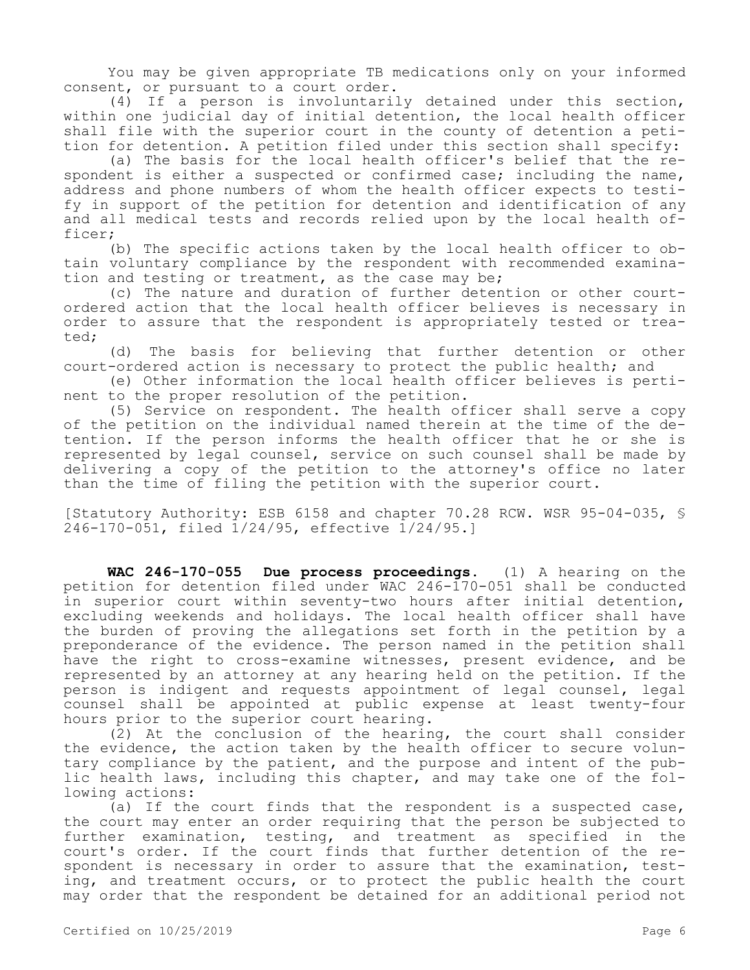You may be given appropriate TB medications only on your informed consent, or pursuant to a court order.

(4) If a person is involuntarily detained under this section, within one judicial day of initial detention, the local health officer shall file with the superior court in the county of detention a petition for detention. A petition filed under this section shall specify:

(a) The basis for the local health officer's belief that the respondent is either a suspected or confirmed case; including the name, address and phone numbers of whom the health officer expects to testify in support of the petition for detention and identification of any and all medical tests and records relied upon by the local health officer;

(b) The specific actions taken by the local health officer to obtain voluntary compliance by the respondent with recommended examination and testing or treatment, as the case may be;

(c) The nature and duration of further detention or other courtordered action that the local health officer believes is necessary in order to assure that the respondent is appropriately tested or treated;

(d) The basis for believing that further detention or other court-ordered action is necessary to protect the public health; and

(e) Other information the local health officer believes is pertinent to the proper resolution of the petition.

(5) Service on respondent. The health officer shall serve a copy of the petition on the individual named therein at the time of the detention. If the person informs the health officer that he or she is represented by legal counsel, service on such counsel shall be made by delivering a copy of the petition to the attorney's office no later than the time of filing the petition with the superior court.

[Statutory Authority: ESB 6158 and chapter 70.28 RCW. WSR 95-04-035, § 246-170-051, filed 1/24/95, effective 1/24/95.]

**WAC 246-170-055 Due process proceedings.** (1) A hearing on the petition for detention filed under WAC 246-170-051 shall be conducted in superior court within seventy-two hours after initial detention, excluding weekends and holidays. The local health officer shall have the burden of proving the allegations set forth in the petition by a preponderance of the evidence. The person named in the petition shall have the right to cross-examine witnesses, present evidence, and be represented by an attorney at any hearing held on the petition. If the person is indigent and requests appointment of legal counsel, legal counsel shall be appointed at public expense at least twenty-four hours prior to the superior court hearing.

(2) At the conclusion of the hearing, the court shall consider the evidence, the action taken by the health officer to secure voluntary compliance by the patient, and the purpose and intent of the public health laws, including this chapter, and may take one of the following actions:

(a) If the court finds that the respondent is a suspected case, the court may enter an order requiring that the person be subjected to further examination, testing, and treatment as specified in the court's order. If the court finds that further detention of the respondent is necessary in order to assure that the examination, testing, and treatment occurs, or to protect the public health the court may order that the respondent be detained for an additional period not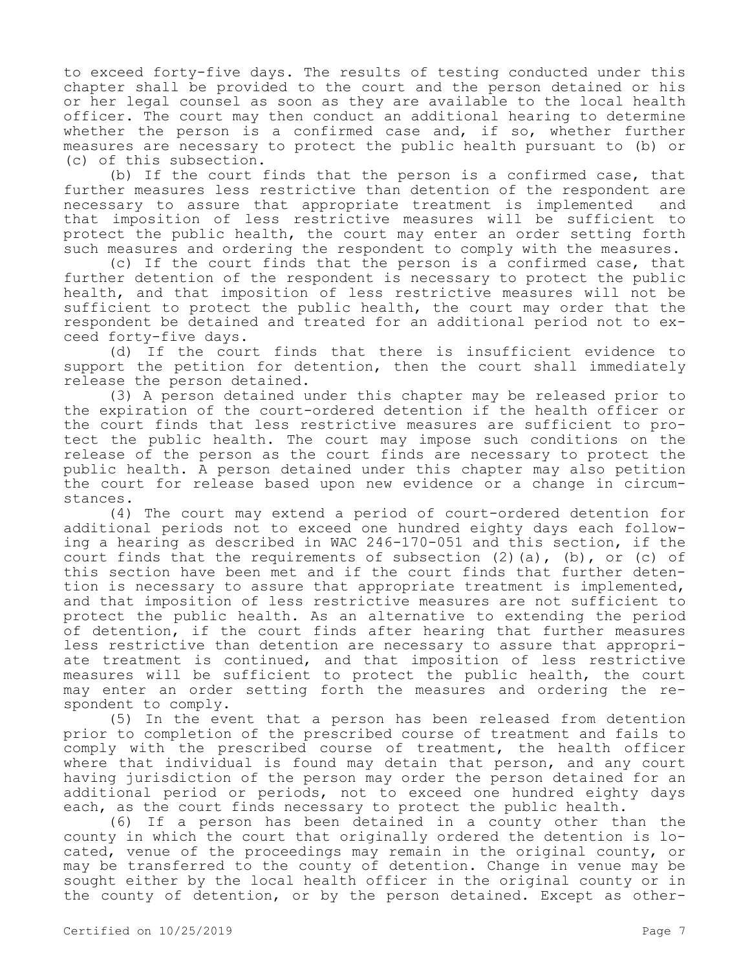to exceed forty-five days. The results of testing conducted under this chapter shall be provided to the court and the person detained or his or her legal counsel as soon as they are available to the local health officer. The court may then conduct an additional hearing to determine whether the person is a confirmed case and, if so, whether further measures are necessary to protect the public health pursuant to (b) or (c) of this subsection.

(b) If the court finds that the person is a confirmed case, that further measures less restrictive than detention of the respondent are necessary to assure that appropriate treatment is implemented and that imposition of less restrictive measures will be sufficient to protect the public health, the court may enter an order setting forth such measures and ordering the respondent to comply with the measures.

(c) If the court finds that the person is a confirmed case, that further detention of the respondent is necessary to protect the public health, and that imposition of less restrictive measures will not be sufficient to protect the public health, the court may order that the respondent be detained and treated for an additional period not to exceed forty-five days.

(d) If the court finds that there is insufficient evidence to support the petition for detention, then the court shall immediately release the person detained.

(3) A person detained under this chapter may be released prior to the expiration of the court-ordered detention if the health officer or the court finds that less restrictive measures are sufficient to protect the public health. The court may impose such conditions on the release of the person as the court finds are necessary to protect the public health. A person detained under this chapter may also petition the court for release based upon new evidence or a change in circumstances.

(4) The court may extend a period of court-ordered detention for additional periods not to exceed one hundred eighty days each following a hearing as described in WAC 246-170-051 and this section, if the court finds that the requirements of subsection  $(2)$   $(a)$ ,  $(b)$ , or  $(c)$  of this section have been met and if the court finds that further detention is necessary to assure that appropriate treatment is implemented, and that imposition of less restrictive measures are not sufficient to protect the public health. As an alternative to extending the period of detention, if the court finds after hearing that further measures less restrictive than detention are necessary to assure that appropriate treatment is continued, and that imposition of less restrictive measures will be sufficient to protect the public health, the court may enter an order setting forth the measures and ordering the respondent to comply.

(5) In the event that a person has been released from detention prior to completion of the prescribed course of treatment and fails to comply with the prescribed course of treatment, the health officer where that individual is found may detain that person, and any court having jurisdiction of the person may order the person detained for an additional period or periods, not to exceed one hundred eighty days each, as the court finds necessary to protect the public health.

(6) If a person has been detained in a county other than the county in which the court that originally ordered the detention is located, venue of the proceedings may remain in the original county, or may be transferred to the county of detention. Change in venue may be sought either by the local health officer in the original county or in the county of detention, or by the person detained. Except as other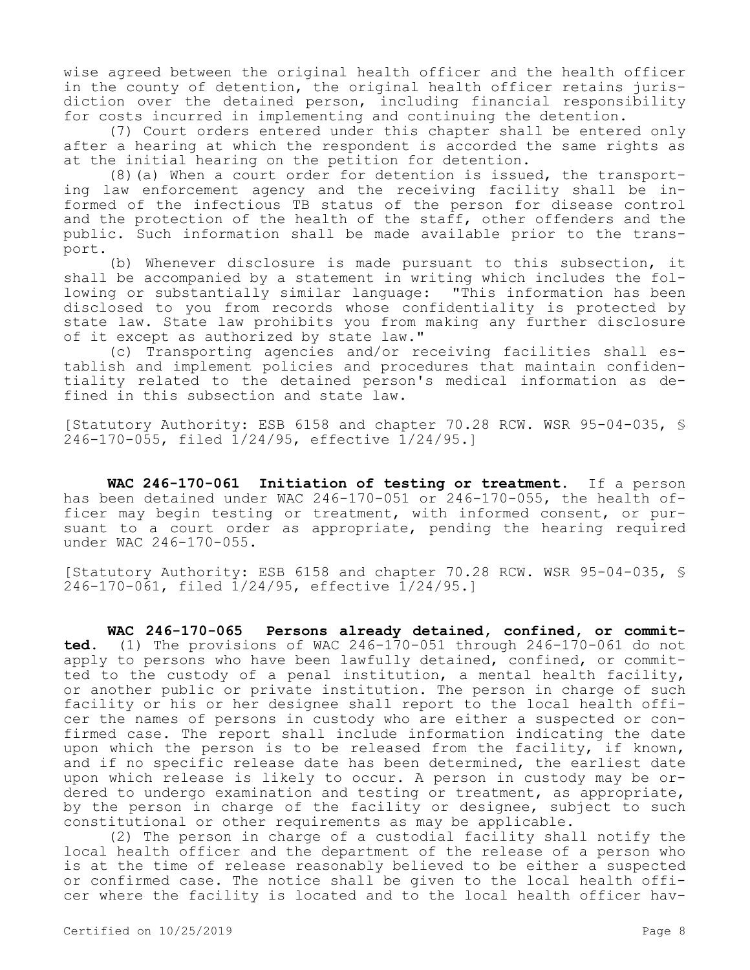wise agreed between the original health officer and the health officer in the county of detention, the original health officer retains jurisdiction over the detained person, including financial responsibility for costs incurred in implementing and continuing the detention.

(7) Court orders entered under this chapter shall be entered only after a hearing at which the respondent is accorded the same rights as at the initial hearing on the petition for detention.

(8)(a) When a court order for detention is issued, the transporting law enforcement agency and the receiving facility shall be informed of the infectious TB status of the person for disease control and the protection of the health of the staff, other offenders and the public. Such information shall be made available prior to the transport.

(b) Whenever disclosure is made pursuant to this subsection, it shall be accompanied by a statement in writing which includes the following or substantially similar language: "This information has been disclosed to you from records whose confidentiality is protected by state law. State law prohibits you from making any further disclosure of it except as authorized by state law."

(c) Transporting agencies and/or receiving facilities shall establish and implement policies and procedures that maintain confidentiality related to the detained person's medical information as defined in this subsection and state law.

[Statutory Authority: ESB 6158 and chapter 70.28 RCW. WSR 95-04-035, § 246-170-055, filed 1/24/95, effective 1/24/95.]

**WAC 246-170-061 Initiation of testing or treatment.** If a person has been detained under WAC 246-170-051 or 246-170-055, the health officer may begin testing or treatment, with informed consent, or pursuant to a court order as appropriate, pending the hearing required under WAC 246-170-055.

[Statutory Authority: ESB 6158 and chapter 70.28 RCW. WSR 95-04-035, § 246-170-061, filed 1/24/95, effective 1/24/95.]

**WAC 246-170-065 Persons already detained, confined, or committed.** (1) The provisions of WAC 246-170-051 through 246-170-061 do not apply to persons who have been lawfully detained, confined, or committed to the custody of a penal institution, a mental health facility, or another public or private institution. The person in charge of such facility or his or her designee shall report to the local health officer the names of persons in custody who are either a suspected or confirmed case. The report shall include information indicating the date upon which the person is to be released from the facility, if known, and if no specific release date has been determined, the earliest date upon which release is likely to occur. A person in custody may be ordered to undergo examination and testing or treatment, as appropriate, by the person in charge of the facility or designee, subject to such constitutional or other requirements as may be applicable.

(2) The person in charge of a custodial facility shall notify the local health officer and the department of the release of a person who is at the time of release reasonably believed to be either a suspected or confirmed case. The notice shall be given to the local health officer where the facility is located and to the local health officer hav